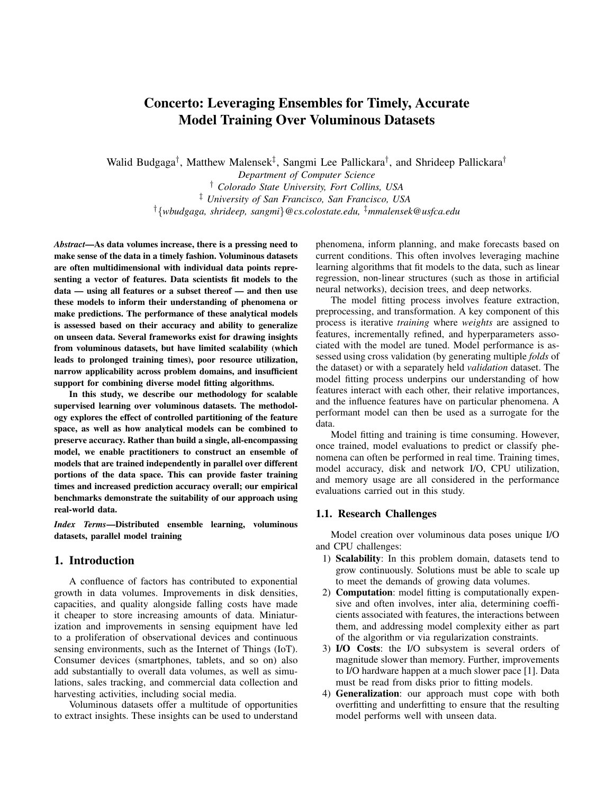# Concerto: Leveraging Ensembles for Timely, Accurate Model Training Over Voluminous Datasets

Walid Budgaga<sup>†</sup>, Matthew Malensek<sup>‡</sup>, Sangmi Lee Pallickara<sup>†</sup>, and Shrideep Pallickara<sup>†</sup>

*Department of Computer Science* † *Colorado State University, Fort Collins, USA* ‡ *University of San Francisco, San Francisco, USA* †{*wbudgaga, shrideep, sangmi*}*@cs.colostate.edu,* ‡*mmalensek@usfca.edu*

*Abstract*—As data volumes increase, there is a pressing need to make sense of the data in a timely fashion. Voluminous datasets are often multidimensional with individual data points representing a vector of features. Data scientists fit models to the data — using all features or a subset thereof — and then use these models to inform their understanding of phenomena or make predictions. The performance of these analytical models is assessed based on their accuracy and ability to generalize on unseen data. Several frameworks exist for drawing insights from voluminous datasets, but have limited scalability (which leads to prolonged training times), poor resource utilization, narrow applicability across problem domains, and insufficient support for combining diverse model fitting algorithms.

In this study, we describe our methodology for scalable supervised learning over voluminous datasets. The methodology explores the effect of controlled partitioning of the feature space, as well as how analytical models can be combined to preserve accuracy. Rather than build a single, all-encompassing model, we enable practitioners to construct an ensemble of models that are trained independently in parallel over different portions of the data space. This can provide faster training times and increased prediction accuracy overall; our empirical benchmarks demonstrate the suitability of our approach using real-world data.

*Index Terms*—Distributed ensemble learning, voluminous datasets, parallel model training

## 1. Introduction

A confluence of factors has contributed to exponential growth in data volumes. Improvements in disk densities, capacities, and quality alongside falling costs have made it cheaper to store increasing amounts of data. Miniaturization and improvements in sensing equipment have led to a proliferation of observational devices and continuous sensing environments, such as the Internet of Things (IoT). Consumer devices (smartphones, tablets, and so on) also add substantially to overall data volumes, as well as simulations, sales tracking, and commercial data collection and harvesting activities, including social media.

Voluminous datasets offer a multitude of opportunities to extract insights. These insights can be used to understand phenomena, inform planning, and make forecasts based on current conditions. This often involves leveraging machine learning algorithms that fit models to the data, such as linear regression, non-linear structures (such as those in artificial neural networks), decision trees, and deep networks.

The model fitting process involves feature extraction, preprocessing, and transformation. A key component of this process is iterative *training* where *weights* are assigned to features, incrementally refined, and hyperparameters associated with the model are tuned. Model performance is assessed using cross validation (by generating multiple *folds* of the dataset) or with a separately held *validation* dataset. The model fitting process underpins our understanding of how features interact with each other, their relative importances, and the influence features have on particular phenomena. A performant model can then be used as a surrogate for the data.

Model fitting and training is time consuming. However, once trained, model evaluations to predict or classify phenomena can often be performed in real time. Training times, model accuracy, disk and network I/O, CPU utilization, and memory usage are all considered in the performance evaluations carried out in this study.

## 1.1. Research Challenges

Model creation over voluminous data poses unique I/O and CPU challenges:

- 1) Scalability: In this problem domain, datasets tend to grow continuously. Solutions must be able to scale up to meet the demands of growing data volumes.
- 2) Computation: model fitting is computationally expensive and often involves, inter alia, determining coefficients associated with features, the interactions between them, and addressing model complexity either as part of the algorithm or via regularization constraints.
- 3) I/O Costs: the I/O subsystem is several orders of magnitude slower than memory. Further, improvements to I/O hardware happen at a much slower pace [1]. Data must be read from disks prior to fitting models.
- 4) Generalization: our approach must cope with both overfitting and underfitting to ensure that the resulting model performs well with unseen data.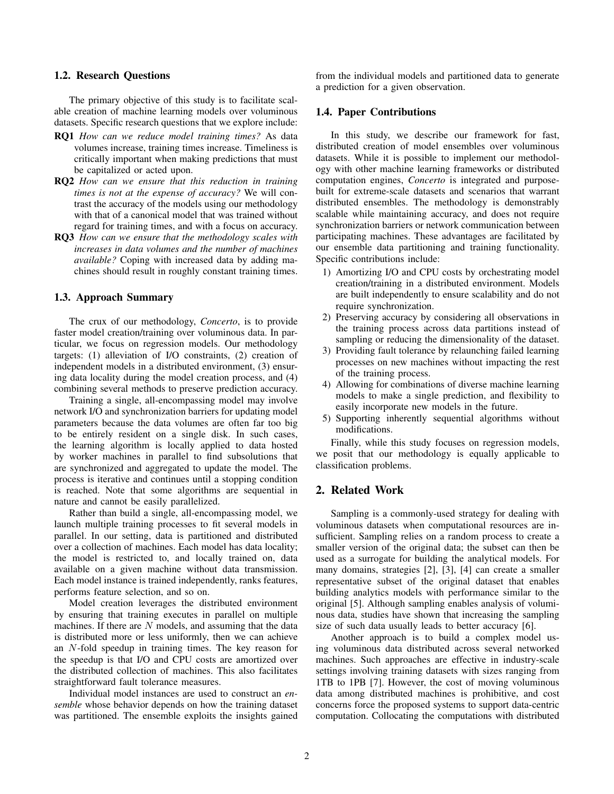#### 1.2. Research Questions

The primary objective of this study is to facilitate scalable creation of machine learning models over voluminous datasets. Specific research questions that we explore include:

- RQ1 *How can we reduce model training times?* As data volumes increase, training times increase. Timeliness is critically important when making predictions that must be capitalized or acted upon.
- RQ2 *How can we ensure that this reduction in training times is not at the expense of accuracy?* We will contrast the accuracy of the models using our methodology with that of a canonical model that was trained without regard for training times, and with a focus on accuracy.
- RQ3 *How can we ensure that the methodology scales with increases in data volumes and the number of machines available?* Coping with increased data by adding machines should result in roughly constant training times.

#### 1.3. Approach Summary

The crux of our methodology, *Concerto*, is to provide faster model creation/training over voluminous data. In particular, we focus on regression models. Our methodology targets: (1) alleviation of I/O constraints, (2) creation of independent models in a distributed environment, (3) ensuring data locality during the model creation process, and (4) combining several methods to preserve prediction accuracy.

Training a single, all-encompassing model may involve network I/O and synchronization barriers for updating model parameters because the data volumes are often far too big to be entirely resident on a single disk. In such cases, the learning algorithm is locally applied to data hosted by worker machines in parallel to find subsolutions that are synchronized and aggregated to update the model. The process is iterative and continues until a stopping condition is reached. Note that some algorithms are sequential in nature and cannot be easily parallelized.

Rather than build a single, all-encompassing model, we launch multiple training processes to fit several models in parallel. In our setting, data is partitioned and distributed over a collection of machines. Each model has data locality; the model is restricted to, and locally trained on, data available on a given machine without data transmission. Each model instance is trained independently, ranks features, performs feature selection, and so on.

Model creation leverages the distributed environment by ensuring that training executes in parallel on multiple machines. If there are  $N$  models, and assuming that the data is distributed more or less uniformly, then we can achieve an N-fold speedup in training times. The key reason for the speedup is that I/O and CPU costs are amortized over the distributed collection of machines. This also facilitates straightforward fault tolerance measures.

Individual model instances are used to construct an *ensemble* whose behavior depends on how the training dataset was partitioned. The ensemble exploits the insights gained from the individual models and partitioned data to generate a prediction for a given observation.

#### 1.4. Paper Contributions

In this study, we describe our framework for fast, distributed creation of model ensembles over voluminous datasets. While it is possible to implement our methodology with other machine learning frameworks or distributed computation engines, *Concerto* is integrated and purposebuilt for extreme-scale datasets and scenarios that warrant distributed ensembles. The methodology is demonstrably scalable while maintaining accuracy, and does not require synchronization barriers or network communication between participating machines. These advantages are facilitated by our ensemble data partitioning and training functionality. Specific contributions include:

- 1) Amortizing I/O and CPU costs by orchestrating model creation/training in a distributed environment. Models are built independently to ensure scalability and do not require synchronization.
- 2) Preserving accuracy by considering all observations in the training process across data partitions instead of sampling or reducing the dimensionality of the dataset.
- 3) Providing fault tolerance by relaunching failed learning processes on new machines without impacting the rest of the training process.
- 4) Allowing for combinations of diverse machine learning models to make a single prediction, and flexibility to easily incorporate new models in the future.
- 5) Supporting inherently sequential algorithms without modifications.

Finally, while this study focuses on regression models, we posit that our methodology is equally applicable to classification problems.

## 2. Related Work

Sampling is a commonly-used strategy for dealing with voluminous datasets when computational resources are insufficient. Sampling relies on a random process to create a smaller version of the original data; the subset can then be used as a surrogate for building the analytical models. For many domains, strategies [2], [3], [4] can create a smaller representative subset of the original dataset that enables building analytics models with performance similar to the original [5]. Although sampling enables analysis of voluminous data, studies have shown that increasing the sampling size of such data usually leads to better accuracy [6].

Another approach is to build a complex model using voluminous data distributed across several networked machines. Such approaches are effective in industry-scale settings involving training datasets with sizes ranging from 1TB to 1PB [7]. However, the cost of moving voluminous data among distributed machines is prohibitive, and cost concerns force the proposed systems to support data-centric computation. Collocating the computations with distributed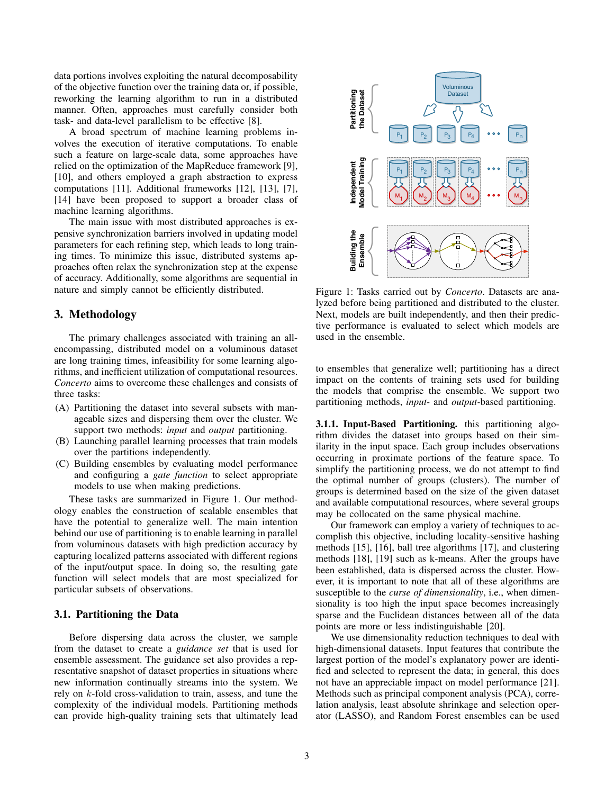data portions involves exploiting the natural decomposability of the objective function over the training data or, if possible, reworking the learning algorithm to run in a distributed manner. Often, approaches must carefully consider both task- and data-level parallelism to be effective [8].

A broad spectrum of machine learning problems involves the execution of iterative computations. To enable such a feature on large-scale data, some approaches have relied on the optimization of the MapReduce framework [9], [10], and others employed a graph abstraction to express computations [11]. Additional frameworks [12], [13], [7], [14] have been proposed to support a broader class of machine learning algorithms.

The main issue with most distributed approaches is expensive synchronization barriers involved in updating model parameters for each refining step, which leads to long training times. To minimize this issue, distributed systems approaches often relax the synchronization step at the expense of accuracy. Additionally, some algorithms are sequential in nature and simply cannot be efficiently distributed.

# 3. Methodology

The primary challenges associated with training an allencompassing, distributed model on a voluminous dataset are long training times, infeasibility for some learning algorithms, and inefficient utilization of computational resources. *Concerto* aims to overcome these challenges and consists of three tasks:

- (A) Partitioning the dataset into several subsets with manageable sizes and dispersing them over the cluster. We support two methods: *input* and *output* partitioning.
- (B) Launching parallel learning processes that train models over the partitions independently.
- (C) Building ensembles by evaluating model performance and configuring a *gate function* to select appropriate models to use when making predictions.

These tasks are summarized in Figure 1. Our methodology enables the construction of scalable ensembles that have the potential to generalize well. The main intention behind our use of partitioning is to enable learning in parallel from voluminous datasets with high prediction accuracy by capturing localized patterns associated with different regions of the input/output space. In doing so, the resulting gate function will select models that are most specialized for particular subsets of observations.

## 3.1. Partitioning the Data

Before dispersing data across the cluster, we sample from the dataset to create a *guidance set* that is used for ensemble assessment. The guidance set also provides a representative snapshot of dataset properties in situations where new information continually streams into the system. We rely on  $k$ -fold cross-validation to train, assess, and tune the complexity of the individual models. Partitioning methods can provide high-quality training sets that ultimately lead



Figure 1: Tasks carried out by *Concerto*. Datasets are analyzed before being partitioned and distributed to the cluster. Next, models are built independently, and then their predictive performance is evaluated to select which models are used in the ensemble.

to ensembles that generalize well; partitioning has a direct impact on the contents of training sets used for building the models that comprise the ensemble. We support two partitioning methods, *input-* and *output-*based partitioning.

3.1.1. Input-Based Partitioning. this partitioning algorithm divides the dataset into groups based on their similarity in the input space. Each group includes observations occurring in proximate portions of the feature space. To simplify the partitioning process, we do not attempt to find the optimal number of groups (clusters). The number of groups is determined based on the size of the given dataset and available computational resources, where several groups may be collocated on the same physical machine.

Our framework can employ a variety of techniques to accomplish this objective, including locality-sensitive hashing methods [15], [16], ball tree algorithms [17], and clustering methods [18], [19] such as k-means. After the groups have been established, data is dispersed across the cluster. However, it is important to note that all of these algorithms are susceptible to the *curse of dimensionality*, i.e., when dimensionality is too high the input space becomes increasingly sparse and the Euclidean distances between all of the data points are more or less indistinguishable [20].

We use dimensionality reduction techniques to deal with high-dimensional datasets. Input features that contribute the largest portion of the model's explanatory power are identified and selected to represent the data; in general, this does not have an appreciable impact on model performance [21]. Methods such as principal component analysis (PCA), correlation analysis, least absolute shrinkage and selection operator (LASSO), and Random Forest ensembles can be used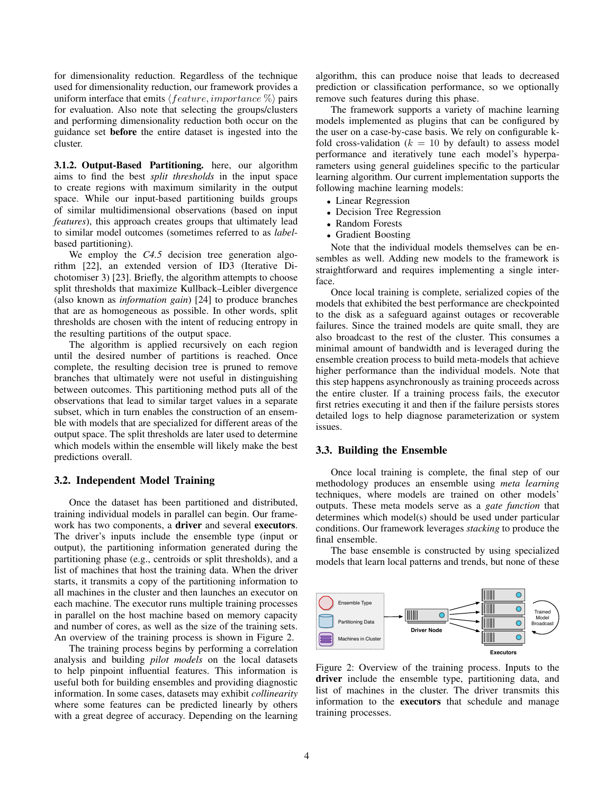for dimensionality reduction. Regardless of the technique used for dimensionality reduction, our framework provides a uniform interface that emits  $\langle feature, importance \% \rangle$  pairs for evaluation. Also note that selecting the groups/clusters and performing dimensionality reduction both occur on the guidance set before the entire dataset is ingested into the cluster.

3.1.2. Output-Based Partitioning. here, our algorithm aims to find the best *split thresholds* in the input space to create regions with maximum similarity in the output space. While our input-based partitioning builds groups of similar multidimensional observations (based on input *features*), this approach creates groups that ultimately lead to similar model outcomes (sometimes referred to as *label*based partitioning).

We employ the *C4.5* decision tree generation algorithm [22], an extended version of ID3 (Iterative Dichotomiser 3) [23]. Briefly, the algorithm attempts to choose split thresholds that maximize Kullback–Leibler divergence (also known as *information gain*) [24] to produce branches that are as homogeneous as possible. In other words, split thresholds are chosen with the intent of reducing entropy in the resulting partitions of the output space.

The algorithm is applied recursively on each region until the desired number of partitions is reached. Once complete, the resulting decision tree is pruned to remove branches that ultimately were not useful in distinguishing between outcomes. This partitioning method puts all of the observations that lead to similar target values in a separate subset, which in turn enables the construction of an ensemble with models that are specialized for different areas of the output space. The split thresholds are later used to determine which models within the ensemble will likely make the best predictions overall.

#### 3.2. Independent Model Training

Once the dataset has been partitioned and distributed, training individual models in parallel can begin. Our framework has two components, a driver and several executors. The driver's inputs include the ensemble type (input or output), the partitioning information generated during the partitioning phase (e.g., centroids or split thresholds), and a list of machines that host the training data. When the driver starts, it transmits a copy of the partitioning information to all machines in the cluster and then launches an executor on each machine. The executor runs multiple training processes in parallel on the host machine based on memory capacity and number of cores, as well as the size of the training sets. An overview of the training process is shown in Figure 2.

The training process begins by performing a correlation analysis and building *pilot models* on the local datasets to help pinpoint influential features. This information is useful both for building ensembles and providing diagnostic information. In some cases, datasets may exhibit *collinearity* where some features can be predicted linearly by others with a great degree of accuracy. Depending on the learning algorithm, this can produce noise that leads to decreased prediction or classification performance, so we optionally remove such features during this phase.

The framework supports a variety of machine learning models implemented as plugins that can be configured by the user on a case-by-case basis. We rely on configurable kfold cross-validation ( $k = 10$  by default) to assess model performance and iteratively tune each model's hyperparameters using general guidelines specific to the particular learning algorithm. Our current implementation supports the following machine learning models:

- Linear Regression
- Decision Tree Regression
- Random Forests
- Gradient Boosting

Note that the individual models themselves can be ensembles as well. Adding new models to the framework is straightforward and requires implementing a single interface.

Once local training is complete, serialized copies of the models that exhibited the best performance are checkpointed to the disk as a safeguard against outages or recoverable failures. Since the trained models are quite small, they are also broadcast to the rest of the cluster. This consumes a minimal amount of bandwidth and is leveraged during the ensemble creation process to build meta-models that achieve higher performance than the individual models. Note that this step happens asynchronously as training proceeds across the entire cluster. If a training process fails, the executor first retries executing it and then if the failure persists stores detailed logs to help diagnose parameterization or system issues.

#### 3.3. Building the Ensemble

Once local training is complete, the final step of our methodology produces an ensemble using *meta learning* techniques, where models are trained on other models' outputs. These meta models serve as a *gate function* that determines which model(s) should be used under particular conditions. Our framework leverages *stacking* to produce the final ensemble.

The base ensemble is constructed by using specialized models that learn local patterns and trends, but none of these



Figure 2: Overview of the training process. Inputs to the driver include the ensemble type, partitioning data, and list of machines in the cluster. The driver transmits this information to the executors that schedule and manage training processes.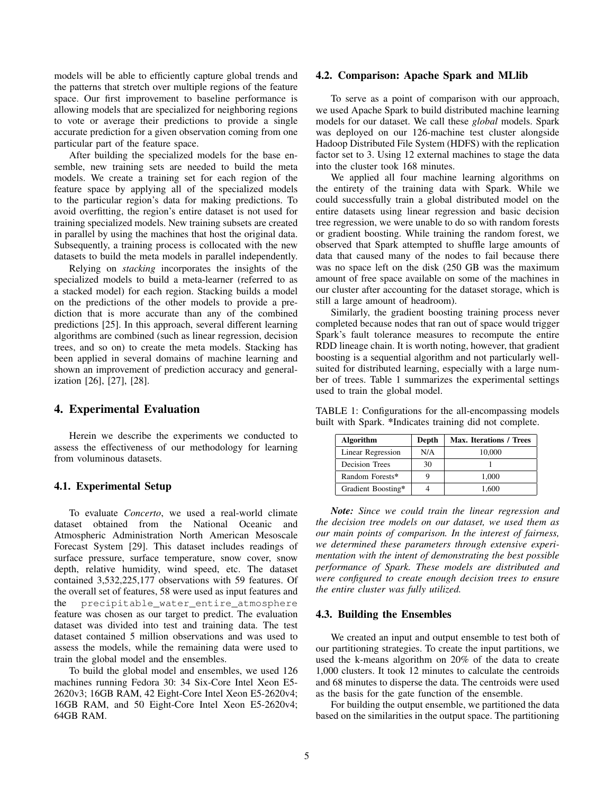models will be able to efficiently capture global trends and the patterns that stretch over multiple regions of the feature space. Our first improvement to baseline performance is allowing models that are specialized for neighboring regions to vote or average their predictions to provide a single accurate prediction for a given observation coming from one particular part of the feature space.

After building the specialized models for the base ensemble, new training sets are needed to build the meta models. We create a training set for each region of the feature space by applying all of the specialized models to the particular region's data for making predictions. To avoid overfitting, the region's entire dataset is not used for training specialized models. New training subsets are created in parallel by using the machines that host the original data. Subsequently, a training process is collocated with the new datasets to build the meta models in parallel independently.

Relying on *stacking* incorporates the insights of the specialized models to build a meta-learner (referred to as a stacked model) for each region. Stacking builds a model on the predictions of the other models to provide a prediction that is more accurate than any of the combined predictions [25]. In this approach, several different learning algorithms are combined (such as linear regression, decision trees, and so on) to create the meta models. Stacking has been applied in several domains of machine learning and shown an improvement of prediction accuracy and generalization [26], [27], [28].

## 4. Experimental Evaluation

Herein we describe the experiments we conducted to assess the effectiveness of our methodology for learning from voluminous datasets.

## 4.1. Experimental Setup

To evaluate *Concerto*, we used a real-world climate dataset obtained from the National Oceanic and Atmospheric Administration North American Mesoscale Forecast System [29]. This dataset includes readings of surface pressure, surface temperature, snow cover, snow depth, relative humidity, wind speed, etc. The dataset contained 3,532,225,177 observations with 59 features. Of the overall set of features, 58 were used as input features and the precipitable water entire atmosphere feature was chosen as our target to predict. The evaluation dataset was divided into test and training data. The test dataset contained 5 million observations and was used to assess the models, while the remaining data were used to train the global model and the ensembles.

To build the global model and ensembles, we used 126 machines running Fedora 30: 34 Six-Core Intel Xeon E5- 2620v3; 16GB RAM, 42 Eight-Core Intel Xeon E5-2620v4; 16GB RAM, and 50 Eight-Core Intel Xeon E5-2620v4; 64GB RAM.

#### 4.2. Comparison: Apache Spark and MLlib

To serve as a point of comparison with our approach, we used Apache Spark to build distributed machine learning models for our dataset. We call these *global* models. Spark was deployed on our 126-machine test cluster alongside Hadoop Distributed File System (HDFS) with the replication factor set to 3. Using 12 external machines to stage the data into the cluster took 168 minutes.

We applied all four machine learning algorithms on the entirety of the training data with Spark. While we could successfully train a global distributed model on the entire datasets using linear regression and basic decision tree regression, we were unable to do so with random forests or gradient boosting. While training the random forest, we observed that Spark attempted to shuffle large amounts of data that caused many of the nodes to fail because there was no space left on the disk (250 GB was the maximum amount of free space available on some of the machines in our cluster after accounting for the dataset storage, which is still a large amount of headroom).

Similarly, the gradient boosting training process never completed because nodes that ran out of space would trigger Spark's fault tolerance measures to recompute the entire RDD lineage chain. It is worth noting, however, that gradient boosting is a sequential algorithm and not particularly wellsuited for distributed learning, especially with a large number of trees. Table 1 summarizes the experimental settings used to train the global model.

TABLE 1: Configurations for the all-encompassing models built with Spark. \*Indicates training did not complete.

| Algorithm          | Depth | Max. Iterations / Trees |
|--------------------|-------|-------------------------|
| Linear Regression  | N/A   | 10.000                  |
| Decision Trees     | 30    |                         |
| Random Forests*    |       | 1.000                   |
| Gradient Boosting* |       | 1.600                   |

*Note: Since we could train the linear regression and the decision tree models on our dataset, we used them as our main points of comparison. In the interest of fairness, we determined these parameters through extensive experimentation with the intent of demonstrating the best possible performance of Spark. These models are distributed and were configured to create enough decision trees to ensure the entire cluster was fully utilized.*

## 4.3. Building the Ensembles

We created an input and output ensemble to test both of our partitioning strategies. To create the input partitions, we used the k-means algorithm on 20% of the data to create 1,000 clusters. It took 12 minutes to calculate the centroids and 68 minutes to disperse the data. The centroids were used as the basis for the gate function of the ensemble.

For building the output ensemble, we partitioned the data based on the similarities in the output space. The partitioning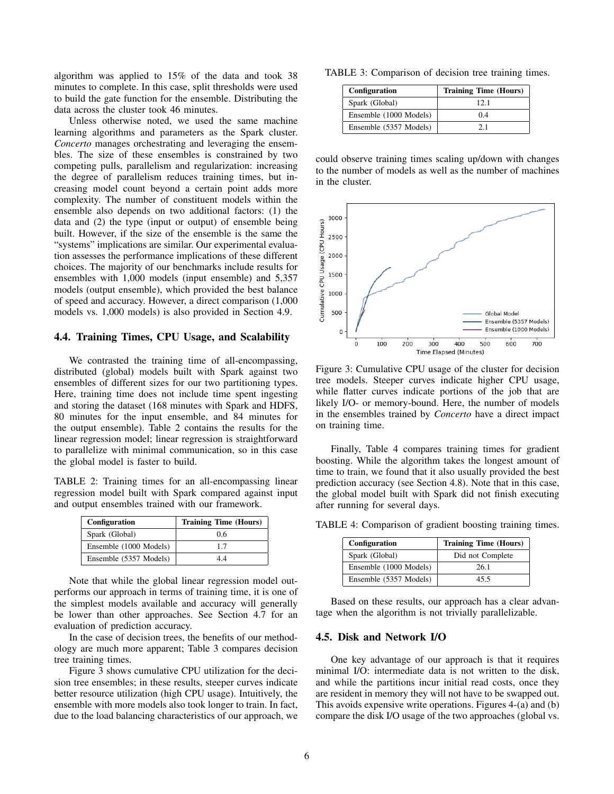algorithm was applied to 15% of the data and took 38 minutes to complete. In this case, split thresholds were used to build the gate function for the ensemble. Distributing the data across the cluster took 46 minutes.

Unless otherwise noted, we used the same machine learning algorithms and parameters as the Spark cluster. *Concerto* manages orchestrating and leveraging the ensembles. The size of these ensembles is constrained by two competing pulls, parallelism and regularization: increasing the degree of parallelism reduces training times, but increasing model count beyond a certain point adds more complexity. The number of constituent models within the ensemble also depends on two additional factors: (1) the data and (2) the type (input or output) of ensemble being built. However, if the size of the ensemble is the same the "systems" implications are similar. Our experimental evaluation assesses the performance implications of these different choices. The majority of our benchmarks include results for ensembles with 1,000 models (input ensemble) and 5,357 models (output ensemble), which provided the best balance of speed and accuracy. However, a direct comparison (1,000 models vs. 1,000 models) is also provided in Section 4.9.

## 4.4. Training Times, CPU Usage, and Scalability

We contrasted the training time of all-encompassing, distributed (global) models built with Spark against two ensembles of different sizes for our two partitioning types. Here, training time does not include time spent ingesting and storing the dataset (168 minutes with Spark and HDFS, 80 minutes for the input ensemble, and 84 minutes for the output ensemble). Table 2 contains the results for the linear regression model; linear regression is straightforward to parallelize with minimal communication, so in this case the global model is faster to build.

TABLE 2: Training times for an all-encompassing linear regression model built with Spark compared against input and output ensembles trained with our framework.

| Configuration          | <b>Training Time (Hours)</b> |
|------------------------|------------------------------|
| Spark (Global)         | 0.6                          |
| Ensemble (1000 Models) | 17                           |
| Ensemble (5357 Models) | 44                           |

Note that while the global linear regression model outperforms our approach in terms of training time, it is one of the simplest models available and accuracy will generally be lower than other approaches. See Section 4.7 for an evaluation of prediction accuracy.

In the case of decision trees, the benefits of our methodology are much more apparent; Table 3 compares decision tree training times.

Figure 3 shows cumulative CPU utilization for the decision tree ensembles; in these results, steeper curves indicate better resource utilization (high CPU usage). Intuitively, the ensemble with more models also took longer to train. In fact, due to the load balancing characteristics of our approach, we

TABLE 3: Comparison of decision tree training times.

| Configuration          | <b>Training Time (Hours)</b> |
|------------------------|------------------------------|
| Spark (Global)         | 12.1                         |
| Ensemble (1000 Models) | 0 <sub>4</sub>               |
| Ensemble (5357 Models) | 21                           |

could observe training times scaling up/down with changes to the number of models as well as the number of machines in the cluster.



Figure 3: Cumulative CPU usage of the cluster for decision tree models. Steeper curves indicate higher CPU usage, while flatter curves indicate portions of the job that are likely I/O- or memory-bound. Here, the number of models in the ensembles trained by *Concerto* have a direct impact on training time.

Finally, Table 4 compares training times for gradient boosting. While the algorithm takes the longest amount of time to train, we found that it also usually provided the best prediction accuracy (see Section 4.8). Note that in this case, the global model built with Spark did not finish executing after running for several days.

TABLE 4: Comparison of gradient boosting training times.

| Configuration          | <b>Training Time (Hours)</b> |
|------------------------|------------------------------|
| Spark (Global)         | Did not Complete             |
| Ensemble (1000 Models) | 26.1                         |
| Ensemble (5357 Models) | 45.5                         |

Based on these results, our approach has a clear advantage when the algorithm is not trivially parallelizable.

#### 4.5. Disk and Network I/O

One key advantage of our approach is that it requires minimal I/O: intermediate data is not written to the disk, and while the partitions incur initial read costs, once they are resident in memory they will not have to be swapped out. This avoids expensive write operations. Figures 4-(a) and (b) compare the disk I/O usage of the two approaches (global vs.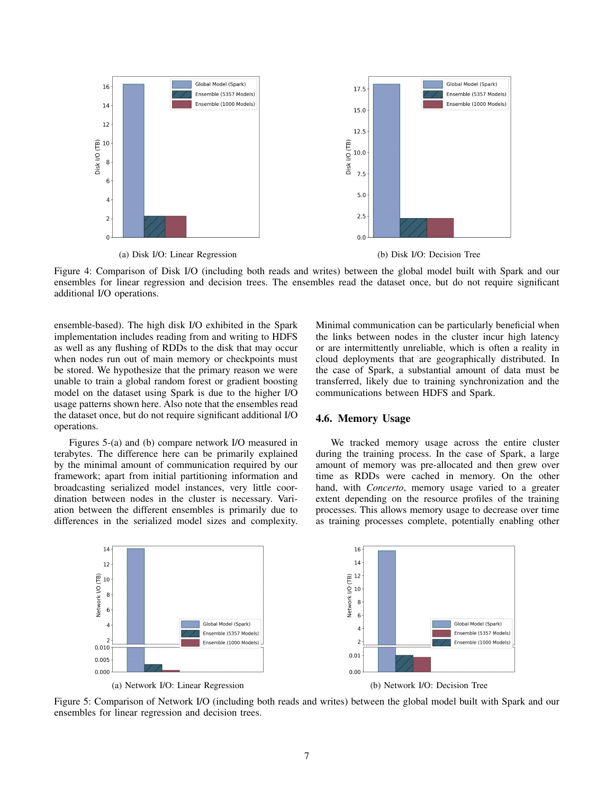

Figure 4: Comparison of Disk I/O (including both reads and writes) between the global model built with Spark and our ensembles for linear regression and decision trees. The ensembles read the dataset once, but do not require significant additional I/O operations.

ensemble-based). The high disk I/O exhibited in the Spark implementation includes reading from and writing to HDFS as well as any flushing of RDDs to the disk that may occur when nodes run out of main memory or checkpoints must be stored. We hypothesize that the primary reason we were unable to train a global random forest or gradient boosting model on the dataset using Spark is due to the higher I/O usage patterns shown here. Also note that the ensembles read the dataset once, but do not require significant additional I/O operations.

Figures 5-(a) and (b) compare network I/O measured in terabytes. The difference here can be primarily explained by the minimal amount of communication required by our framework; apart from initial partitioning information and broadcasting serialized model instances, very little coordination between nodes in the cluster is necessary. Variation between the different ensembles is primarily due to differences in the serialized model sizes and complexity. Minimal communication can be particularly beneficial when the links between nodes in the cluster incur high latency or are intermittently unreliable, which is often a reality in cloud deployments that are geographically distributed. In the case of Spark, a substantial amount of data must be transferred, likely due to training synchronization and the communications between HDFS and Spark.

## 4.6. Memory Usage

We tracked memory usage across the entire cluster during the training process. In the case of Spark, a large amount of memory was pre-allocated and then grew over time as RDDs were cached in memory. On the other hand, with *Concerto*, memory usage varied to a greater extent depending on the resource profiles of the training processes. This allows memory usage to decrease over time as training processes complete, potentially enabling other



Figure 5: Comparison of Network I/O (including both reads and writes) between the global model built with Spark and our ensembles for linear regression and decision trees.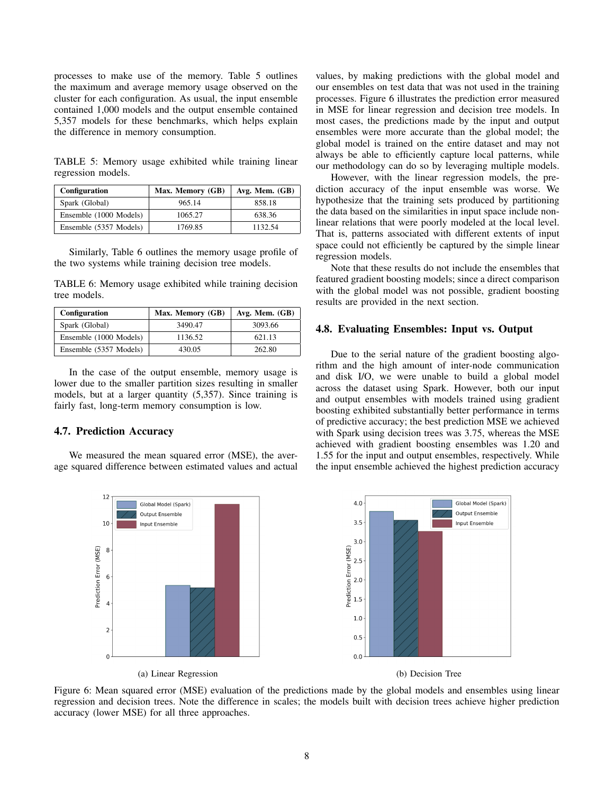processes to make use of the memory. Table 5 outlines the maximum and average memory usage observed on the cluster for each configuration. As usual, the input ensemble contained 1,000 models and the output ensemble contained 5,357 models for these benchmarks, which helps explain the difference in memory consumption.

TABLE 5: Memory usage exhibited while training linear regression models.

| Configuration          | Max. Memory (GB) | Avg. Mem. $(GB)$ |
|------------------------|------------------|------------------|
| Spark (Global)         | 965.14           | 858.18           |
| Ensemble (1000 Models) | 1065.27          | 638.36           |
| Ensemble (5357 Models) | 1769.85          | 1132.54          |

Similarly, Table 6 outlines the memory usage profile of the two systems while training decision tree models.

TABLE 6: Memory usage exhibited while training decision tree models.

| Configuration          | Max. Memory (GB) | Avg. Mem. $(GB)$ |
|------------------------|------------------|------------------|
| Spark (Global)         | 3490.47          | 3093.66          |
| Ensemble (1000 Models) | 1136.52          | 621.13           |
| Ensemble (5357 Models) | 430.05           | 262.80           |

In the case of the output ensemble, memory usage is lower due to the smaller partition sizes resulting in smaller models, but at a larger quantity (5,357). Since training is fairly fast, long-term memory consumption is low.

#### 4.7. Prediction Accuracy

We measured the mean squared error (MSE), the average squared difference between estimated values and actual values, by making predictions with the global model and our ensembles on test data that was not used in the training processes. Figure 6 illustrates the prediction error measured in MSE for linear regression and decision tree models. In most cases, the predictions made by the input and output ensembles were more accurate than the global model; the global model is trained on the entire dataset and may not always be able to efficiently capture local patterns, while our methodology can do so by leveraging multiple models.

However, with the linear regression models, the prediction accuracy of the input ensemble was worse. We hypothesize that the training sets produced by partitioning the data based on the similarities in input space include nonlinear relations that were poorly modeled at the local level. That is, patterns associated with different extents of input space could not efficiently be captured by the simple linear regression models.

Note that these results do not include the ensembles that featured gradient boosting models; since a direct comparison with the global model was not possible, gradient boosting results are provided in the next section.

#### 4.8. Evaluating Ensembles: Input vs. Output

Due to the serial nature of the gradient boosting algorithm and the high amount of inter-node communication and disk I/O, we were unable to build a global model across the dataset using Spark. However, both our input and output ensembles with models trained using gradient boosting exhibited substantially better performance in terms of predictive accuracy; the best prediction MSE we achieved with Spark using decision trees was 3.75, whereas the MSE achieved with gradient boosting ensembles was 1.20 and 1.55 for the input and output ensembles, respectively. While the input ensemble achieved the highest prediction accuracy



Figure 6: Mean squared error (MSE) evaluation of the predictions made by the global models and ensembles using linear regression and decision trees. Note the difference in scales; the models built with decision trees achieve higher prediction accuracy (lower MSE) for all three approaches.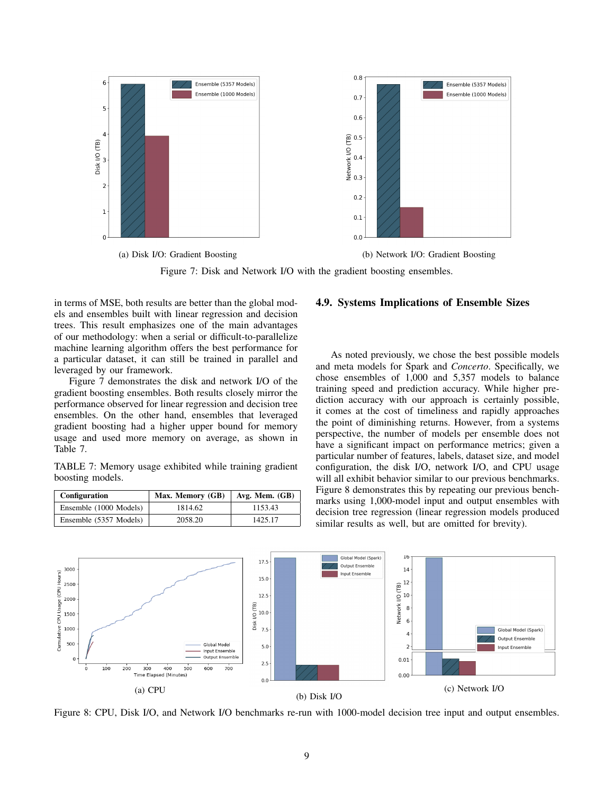

Figure 7: Disk and Network I/O with the gradient boosting ensembles.

in terms of MSE, both results are better than the global models and ensembles built with linear regression and decision trees. This result emphasizes one of the main advantages of our methodology: when a serial or difficult-to-parallelize machine learning algorithm offers the best performance for a particular dataset, it can still be trained in parallel and leveraged by our framework.

Figure 7 demonstrates the disk and network I/O of the gradient boosting ensembles. Both results closely mirror the performance observed for linear regression and decision tree ensembles. On the other hand, ensembles that leveraged gradient boosting had a higher upper bound for memory usage and used more memory on average, as shown in Table 7.

TABLE 7: Memory usage exhibited while training gradient boosting models.

| Configuration          | Max. Memory (GB) | Avg. Mem. $(GB)$ |
|------------------------|------------------|------------------|
| Ensemble (1000 Models) | 1814.62          | 1153.43          |
| Ensemble (5357 Models) | 2058.20          | 1425.17          |

#### 4.9. Systems Implications of Ensemble Sizes

As noted previously, we chose the best possible models and meta models for Spark and *Concerto*. Specifically, we chose ensembles of 1,000 and 5,357 models to balance training speed and prediction accuracy. While higher prediction accuracy with our approach is certainly possible, it comes at the cost of timeliness and rapidly approaches the point of diminishing returns. However, from a systems perspective, the number of models per ensemble does not have a significant impact on performance metrics; given a particular number of features, labels, dataset size, and model configuration, the disk I/O, network I/O, and CPU usage will all exhibit behavior similar to our previous benchmarks. Figure 8 demonstrates this by repeating our previous benchmarks using 1,000-model input and output ensembles with decision tree regression (linear regression models produced similar results as well, but are omitted for brevity).



Figure 8: CPU, Disk I/O, and Network I/O benchmarks re-run with 1000-model decision tree input and output ensembles.